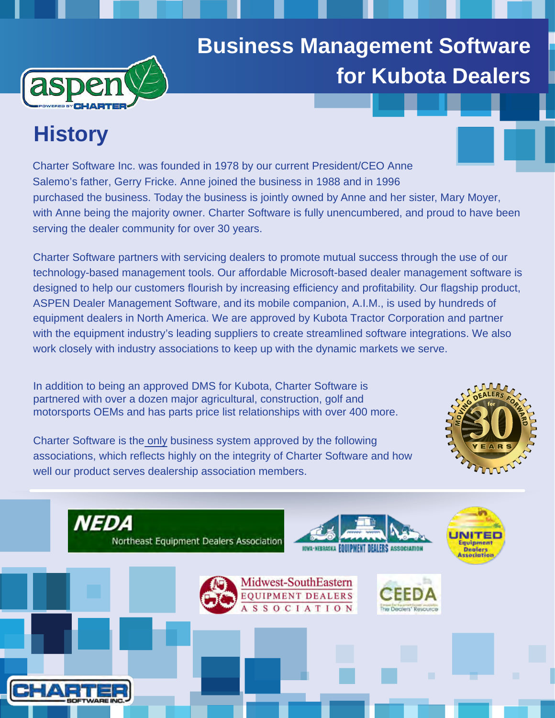

# **Business Management Software for Kubota Dealers**

# **History**

Charter Software Inc. was founded in 1978 by our current President/CEO Anne Salemo's father, Gerry Fricke. Anne joined the business in 1988 and in 1996 purchased the business. Today the business is jointly owned by Anne and her sister, Mary Moyer, with Anne being the majority owner. Charter Software is fully unencumbered, and proud to have been serving the dealer community for over 30 years.

Charter Software partners with servicing dealers to promote mutual success through the use of our technology-based management tools. Our affordable Microsoft-based dealer management software is designed to help our customers flourish by increasing efficiency and profitability. Our flagship product, ASPEN Dealer [Management Software](https://chartersoftware.com/aspen-business-management-system/), and [its mobile companion](https://chartersoftware.com/mobile-access/), A.I.M., is used by hundreds of equipment dealers in North America. We are approved by Kubota Tractor Corporation and partner with the equipment industry's leading suppliers to create streamlined software integrations. We also work closely with industry associations to keep up with the dynamic markets we serve.

[In addition to being an approved](https://chartersoftware.com/kubota/) DMS for Kubota, Charter Software is partnered with over a dozen major agricultural, construction, golf and motorsports OEMs and has parts price list relationships with over 400 more.

Charter Software is the only business system approved by the following associations, [which reflects highly on the integrity of Charter Software](https://chartersoftware.com/association-endorsements/) and how well our product serves dealership association members.



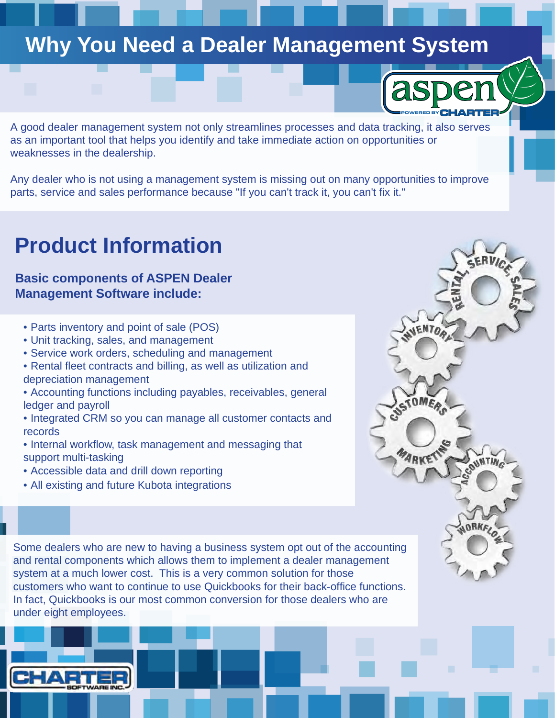# **Why You Need a Dealer Management System**

A good dealer management system not only streamlines processes and data tracking, it also serves as an important tool that helps you identify and take immediate action on opportunities or weaknesses in the dealership.

[POWERED BY](https://chartersoftware.com/aspen-business-management-system/)

Any dealer who is not using a management system is missing out on many opportunities to improve parts, service and sales performance because "If you can't track it, you can't fix it."

# **Product Information**

### **Basic components of ASPEN Dealer Management Software include:**

- [Parts inventory and point of sale \(POS\)](https://chartersoftware.com/parts-management-point-sale/)
- [Unit tracking, sales, and management](https://chartersoftware.com/whole-goods-and-sales-management/)
- [Service work orders, scheduling and management](https://chartersoftware.com/service-and-warranty/)
- [Rental fleet contracts and billing, as well as utilization](https://chartersoftware.com/rental-fleet/) and depreciation management
- [Accounting functions including payables, receivables,](https://chartersoftware.com/financial-management/) general ledger and payroll
- [Integrated CRM so you can manage all customer contacts](https://chartersoftware.com/aspen-integrated-crm/) and records
- Internal workflow, task management and messaging that support multi-tasking
- [Accessible data and drill down reporting](https://chartersoftware.com/reporting-analytics/)
- [All existing and future Kubota integration](https://chartersoftware.com/kubota/)s

Some dealers who are new to having a business system opt out of the accounting and rental components which allows them to implement a dealer management system at a much lower cost. This is a very common solution for those customers who want to continue to use Quickbooks for their back-office functions. In fact, Quickbooks is our most common conversion for those dealers who are under eight employees.

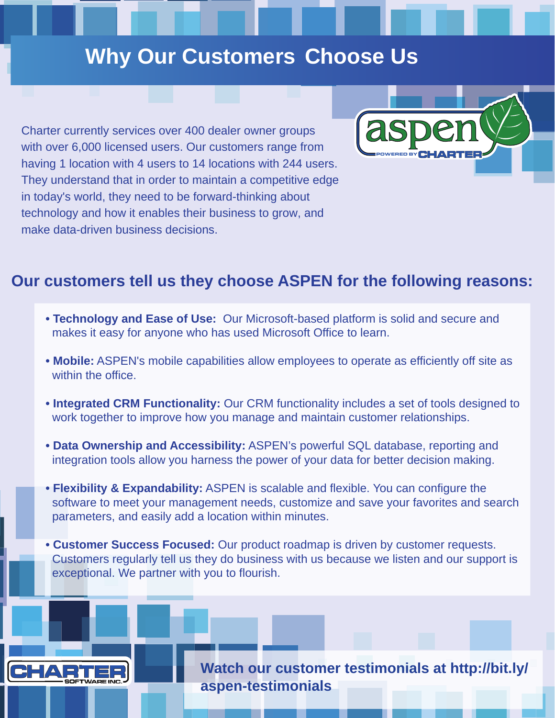# **Why Our Customers Choose Us**

Charter currently services over 400 dealer owner groups with over 6,000 licensed users. Our customers range from having 1 location with 4 users to 14 locations with 244 users. They understand that in order to maintain a competitive edge in today's world, they need to be forward-thinking about technology and how it enables their business to grow, and make data-driven business decisions.

 $\Box/\Delta$ 



### **Our customers tell us they choose ASPEN for the following reasons:**

- **Technology and Ease of Use:** Our Microsoft-based platform is solid and secure and makes it easy for anyone who has used Microsoft Office to learn.
- **Mobile:** ASPEN's mobile capabilities allow employees to operate as efficiently off site as within the office.
- **Integrated CRM Functionality:** Our CRM functionality includes a set of tools designed to work together to improve how you manage and maintain customer relationships.
- **Data Ownership and Accessibility:** ASPEN's powerful SQL database, reporting and integration tools allow you harness the power of your data for better decision making.
- **Flexibility & Expandability:** ASPEN is scalable and flexible. You can configure the software to meet your management needs, customize and save your favorites and search parameters, and easily add a location within minutes.
- **Customer Success Focused:** Our product roadmap is driven by customer requests. Customers regularly tell us they do business with us because we listen and our support is exceptional. We partner with you to flourish.

**[Watch our customer testimonials at http://bit.ly/](http://bit.ly/aspen-testimonials) aspen-testimonials**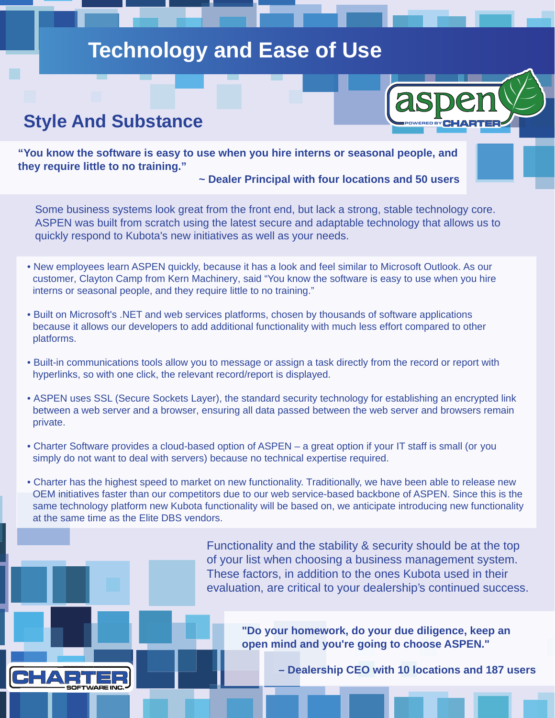# **Technology and Ease of Use**

### **Style And Substance**

CHA

 $\Box$ 

POWERED BY

**"You know the software is easy to use when you hire interns or seasonal people, and they require little to no training."** 

#### **~ Dealer Principal with four locations and 50 users**

Some business systems look great from the front end, but lack a strong, stable technology core. ASPEN was built from scratch using the latest secure and adaptable technology that allows us to quickly respond to Kubota's new initiatives as well as your needs.

- New employees learn ASPEN quickly, because it has a look and feel similar to Microsoft Outlook. As our customer, Clayton Camp from Kern Machinery, said "You know the software is easy to use when you hire interns or seasonal people, and they require little to no training."
- Built on Microsoft's .NET and web services platforms, chosen by thousands of software applications because it allows our developers to add additional functionality with much less effort compared to other platforms.
- Built-in communications tools allow you to message or assign a task directly from the record or report with hyperlinks, so with one click, the relevant record/report is displayed.
- ASPEN uses SSL (Secure Sockets Layer), the standard security technology for establishing an encrypted link between a web server and a browser, ensuring all data passed between the web server and browsers remain private.
- Charter Software provides a cloud-based option of ASPEN a great option if your IT staff is small (or you simply do not want to deal with servers) because no technical expertise required.
- Charter has the highest speed to market on new functionality. Traditionally, we have been able to release new OEM initiatives faster than our competitors due to our web service-based backbone of ASPEN. Since this is the same technology platform new Kubota functionality will be based on, we anticipate introducing new functionality at the same time as the Elite DBS vendors.

Functionality and the stability & security should be at the top of your list when choosing a business management system. These factors, in addition to the ones Kubota used in their evaluation, are critical to your dealership's continued success.

> **"Do your homework, do your due diligence, keep an open mind and you're going to choose ASPEN."**

> > **– Dealership CEO with 10 locations and 187 users**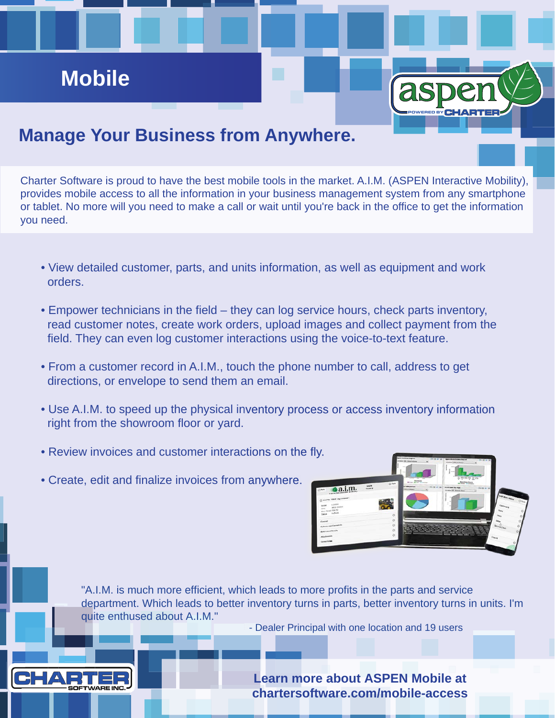# **Mobile**

## **Manage Your Business from Anywhere.**

Charter Software is proud to have the best mobile tools in the market. A.I.M. (ASPEN Interactive Mobility), provides mobile access to all the information in your business management system from any smartphone or tablet. No more will you need to make a call or wait until you're back in the office to get the information you need.

- View detailed customer, parts, and units information, as well as equipment and work orders.
- Empower technicians in the field they can log service hours, check parts inventory, read customer notes, create work orders, upload images and collect payment from the field. They can even log customer interactions using the voice-to-text feature.
- From a customer record in A.I.M., touch the phone number to call, address to get directions, or envelope to send them an email.
- Use A.I.M. to speed up the physical inventory process or access inventory information information right from the showroom floor or yard.
- Review invoices and customer interactions on the fly.
- Create, edit and finalize invoices from anywhere.



POWERED BY

"A.I.M. is much more efficient, which leads to more profits in the parts and service department. Which leads to better inventory turns in parts, better inventory turns in units. I'm quite enthused about A.I.M."

- Dealer Principal with one location and 19 users



**Learn more about ASPEN Mobile at chartersoftware.com/mobile-access**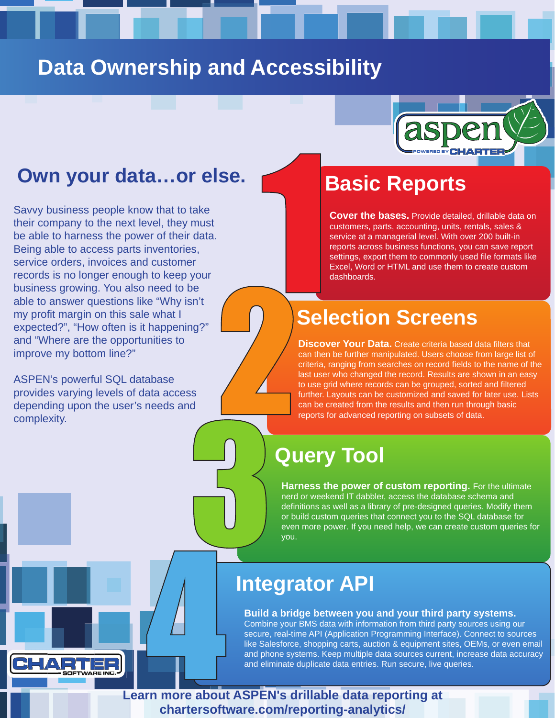# **Data Ownership and Accessibility**



### **Own your data…or else.**

Savvy business people know that to take their company to the next level, they must be able to harness the power of their data. Being able to access parts inventories, service orders, invoices and customer records is no longer enough to keep your business growing. You also need to be able to answer questions like "Why isn't my profit margin on this sale what I expected?", "How often is it happening?" and "Where are the opportunities to improve my bottom line?"

ASPEN's powerful SQL database provides varying levels of data access depending upon the user's needs and complexity.

# **Basic Reports**

**Cover the bases.** Provide detailed, drillable data on customers, parts, accounting, units, rentals, sales & service at a managerial level. With over 200 built-in reports across business functions, you can save report settings, export them to commonly used file formats like Excel, Word or HTML and use them to create custom dashboards.

# **Selection Screens**

**Discover Your Data.** Create criteria based data filters that can then be further manipulated. Users choose from large list of criteria, ranging from searches on record fields to the name of the last user who changed the record. Results are shown in an easy to use grid where records can be grouped, sorted and filtered further. Layouts can be customized and saved for later use. Lists can be created from the results and then run through basic reports for advanced reporting on subsets of data.

# **Query Tool**

**Harness the power of custom reporting.** For the ultimate nerd or weekend IT dabbler, access the database schema and definitions as well as a library of pre-designed queries. Modify them or build custom queries that connect you to the SQL database for even more power. If you need help, we can create custom queries for you.

## **Integrator API**

**Build a bridge between you and your third party systems.**  Combine your BMS data with information from third party sources using our secure, real-time API (Application Programming Interface). Connect to sources like Salesforce, shopping carts, auction & equipment sites, OEMs, or even email and phone systems. Keep multiple data sources current, increase data accuracy and eliminate duplicate data entries. Run secure, live queries.

**Learn more about ASPEN's drillable data reporting at chartersoftware.com/reporting-analytics/**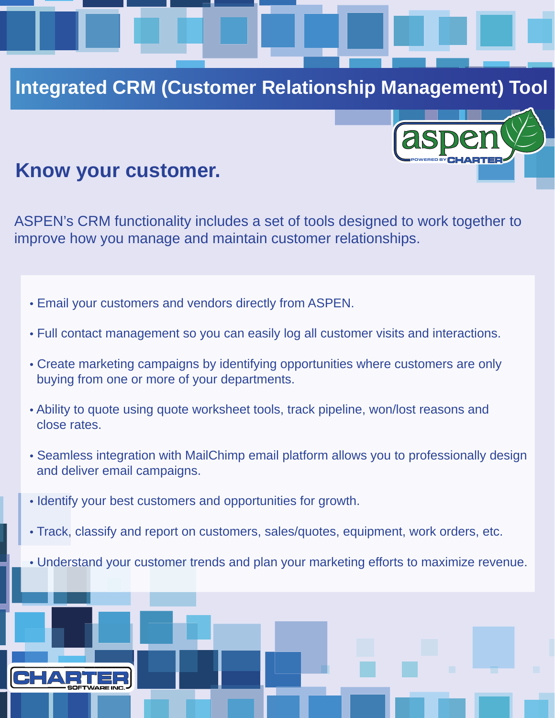### **Integrated CRM (Customer Relationship Management) Tool**

POWERED BY

### **Know your customer.**

ASPEN's CRM functionality includes a set of tools designed to work together to improve how you manage and maintain customer relationships.

- Email your customers and vendors directly from ASPEN.
- Full contact management so you can easily log all customer visits and interactions.
- Create marketing campaigns by identifying opportunities where customers are only buying from one or more of your departments.
- Ability to quote using quote worksheet tools, track pipeline, won/lost reasons and close rates.
- Seamless integration with MailChimp email platform allows you to professionally design and deliver email campaigns.
- Identify your best customers and opportunities for growth.
- Track, classify and report on customers, sales/quotes, equipment, work orders, etc.
- Understand your customer trends and plan your marketing efforts to maximize revenue.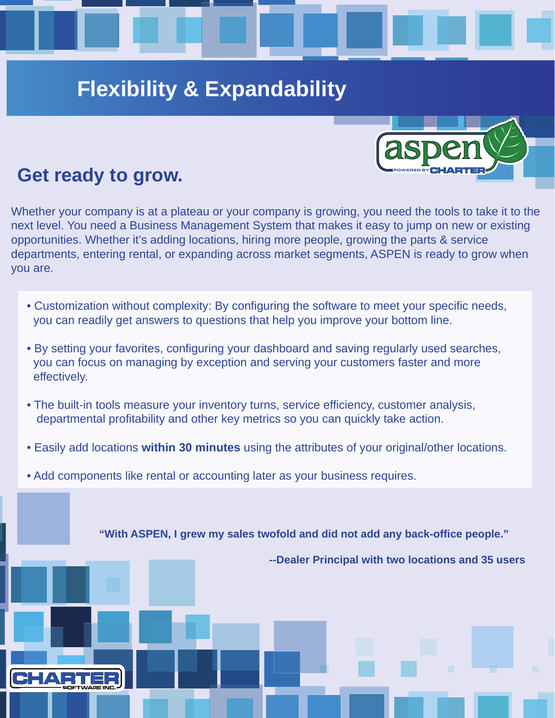# **Flexibility & Expandability**

## **Get ready to grow.**

Whether your company is at a plateau or your company is growing, you need the tools to take it to the next level. You need a Business Management System that makes it easy to jump on new or existing opportunities. Whether it's adding locations, hiring more people, growing the parts & service departments, entering rental, or expanding across market segments, ASPEN is ready to grow when you are.

- Customization without complexity: By configuring the software to meet your specific needs, you can readily get answers to questions that help you improve your bottom line.
- By setting your favorites, configuring your dashboard and saving regularly used searches, you can focus on managing by exception and serving your customers faster and more effectively.
- The built-in tools measure your inventory turns, service efficiency, customer analysis, departmental profitability and other key metrics so you can quickly take action.
- Easily add locations **within 30 minutes** using the attributes of your original/other locations.
- Add components like rental or accounting later as your business requires.

**"With ASPEN, I grew my sales twofold and did not add any back-office people."** 

**--Dealer Principal with two locations and 35 users** 



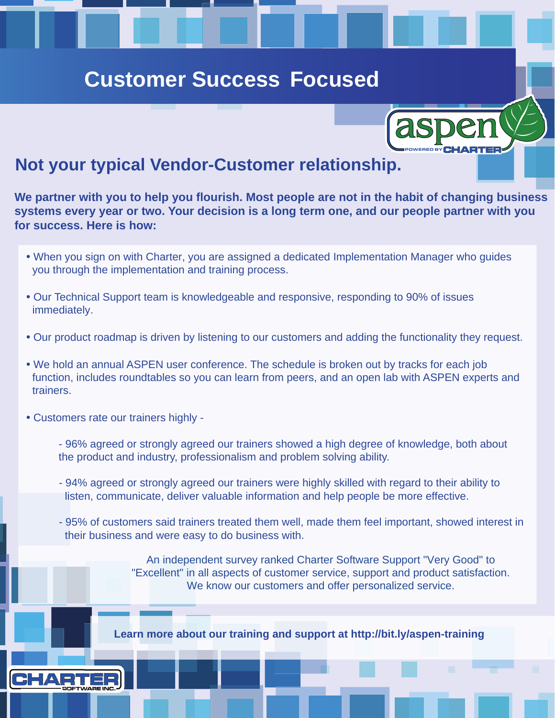# **Customer Success Focused**

### **Not your typical Vendor-Customer relationship.**

**We partner with you to help you flourish. Most people are not in the habit of changing business systems every year or two. Your decision is a long term one, and our people partner with you for success. Here is how:**

POWERED BY

- When you sign on with Charter, you are assigned a dedicated Implementation Manager who guides you through the implementation and training process.
- Our Technical Support team is knowledgeable and responsive, responding to 90% of issues immediately.
- Our product roadmap is driven by listening to our customers and adding the functionality they request.
- We hold an annual ASPEN user conference. The schedule is broken out by tracks for each job function, includes roundtables so you can learn from peers, and an open lab with ASPEN experts and trainers.
- Customers rate our trainers highly
	- 96% agreed or strongly agreed our trainers showed a high degree of knowledge, both about the product and industry, professionalism and problem solving ability.
	- 94% agreed or strongly agreed our trainers were highly skilled with regard to their ability to listen, communicate, deliver valuable information and help people be more effective.
	- 95% of customers said trainers treated them well, made them feel important, showed interest in their business and were easy to do business with.

An independent survey ranked Charter Software Support "Very Good" to "Excellent" in all aspects of customer service, support and product satisfaction. We know our customers and offer personalized service.

**Learn more about our training and support at http://bit.ly/aspen-training** 

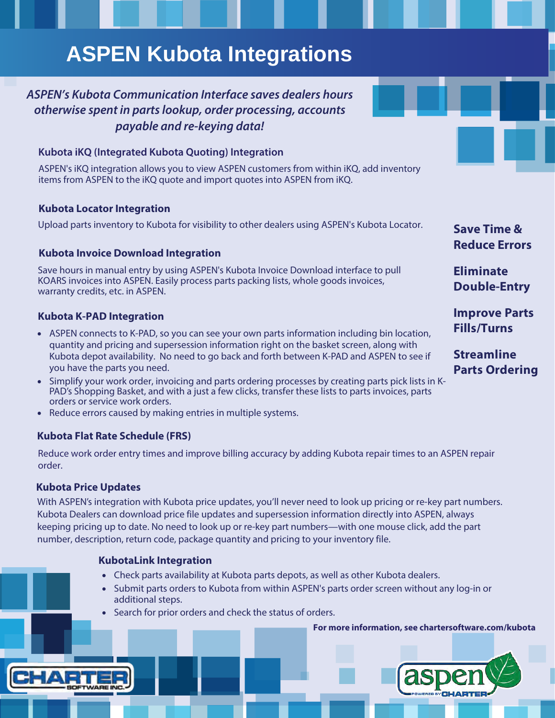# **[ASPEN Kubota Integrations](https://chartersoftware.com/kubota/)**

### *ASPEN's Kubota Communication Interface saves* **dealers hours [otherwise spent in parts lookup, order processing, accounts](https://chartersoftware.com/kubota/)  payable and re-keying data!**

#### **[Kubota iKQ \(Integrated Kubota Quoting\) Integration](https://chartersoftware.com/kubota/)**

[ASPEN's iKQ integration allows you to view ASPEN customers from within iKQ,](https://chartersoftware.com/kubota/) add inventory items from ASPEN to the iKQ quote and import quotes into ASPEN from iKQ.

#### **Kubota [Locator Integration](https://chartersoftware.com/kubota/)**

[Upload parts inventory to Kubota for visibility to other dealers using ASPEN's Kubota](https://chartersoftware.com/kubota/) Locator.

#### **Kubota [Invoice Download Integration](https://chartersoftware.com/kubota/)**

[Save hours in manual entry by using ASPEN's Kubota Invoice Download interface to pull](https://chartersoftware.com/kubota/) KOARS invoices into ASPEN. Easily process parts packing lists, whole goods invoices, warranty credits, etc. in ASPEN.

#### **[Kubota K-PAD Integration](https://chartersoftware.com/kubota/)**

- ASPEN connects to K-PAD, so you can see your own parts information including bin location, quantity and pricing and supersession information right on the basket screen, along with Kubota depot availability. No need to go back and forth between K-PAD and ASPEN to see if you have the parts you need.
- [Simplify your work order, invoicing and parts ordering processes by creating parts pick lists](https://chartersoftware.com/kubota/) in K-PAD's Shopping Basket, and with a just a few clicks, transfer these lists to parts invoices, parts orders or service work orders.
- Reduce errors caused by making entries in multiple systems.

#### **Kubota Flat Rate Schedule (FRS)**

Reduce work order entry times and improve billing accuracy by adding Kubota repair times to an ASPEN repair order.

#### **[Kubota Price Updates](https://chartersoftware.com/kubota/)**

[With ASPEN's integration with Kubota price updates, you'll never need to look up pricing or](https://chartersoftware.com/kubota/) re-key part numbers. Kubota Dealers can download price file updates and supersession information directly into ASPEN, always keeping pricing up to date. No need to look up or re-key part numbers—with one mouse click, add the part number, description, return code, package quantity and pricing to your inventory file.

#### **[KubotaLink Integration](https://chartersoftware.com/kubota/)**

- Check parts availability at Kubota parts depots, as well as other Kubota dealers.
- [Submit parts orders to Kubota from within ASPEN's parts order screen without any log-in](https://chartersoftware.com/kubota/) or additional steps.
- Search for prior orders and check the status of orders.

**[For more information, see chartersoftware.com/kubota](chartersoftware.com/kubota/)**



**Save Time & Reduce Errors**

**Eliminate Double-Entry**

**Improve Parts Fills/Turns**

**Streamline Parts Ordering**